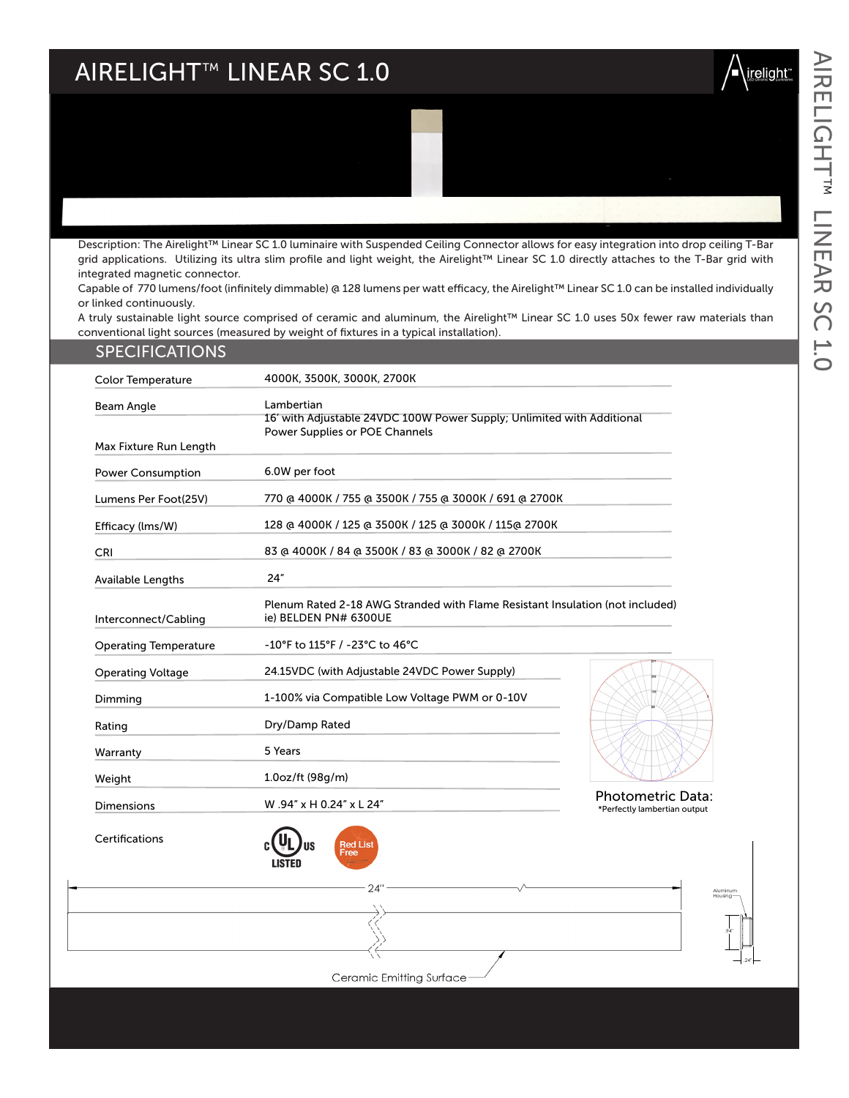# AIRELIGHT™ LINEAR SC 1.0



Description: The Airelight™ Linear SC 1.0 luminaire with Suspended Ceiling Connector allows for easy integration into drop ceiling T-Bar grid applications. Utilizing its ultra slim profile and light weight, the Airelight™ Linear SC 1.0 directly attaches to the T-Bar grid with integrated magnetic connector.

Capable of 770 lumens/foot (infinitely dimmable) @ 128 lumens per watt efficacy, the Airelight™ Linear SC 1.0 can be installed individually or linked continuously.

A truly sustainable light source comprised of ceramic and aluminum, the Airelight™ Linear SC 1.0 uses 50x fewer raw materials than conventional light sources (measured by weight of fixtures in a typical installation).

| <b>SPECIFICATIONS</b>                       |                                                                                                                        |                                                          |
|---------------------------------------------|------------------------------------------------------------------------------------------------------------------------|----------------------------------------------------------|
| <b>Color Temperature</b>                    | 4000K, 3500K, 3000K, 2700K                                                                                             |                                                          |
| <b>Beam Angle</b><br>Max Fixture Run Length | Lambertian<br>16' with Adjustable 24VDC 100W Power Supply; Unlimited with Additional<br>Power Supplies or POE Channels |                                                          |
| <b>Power Consumption</b>                    | 6.0W per foot                                                                                                          |                                                          |
| Lumens Per Foot(25V)                        | 770 @ 4000K / 755 @ 3500K / 755 @ 3000K / 691 @ 2700K                                                                  |                                                          |
| Efficacy (Ims/W)                            | 128 @ 4000K / 125 @ 3500K / 125 @ 3000K / 115@ 2700K                                                                   |                                                          |
| <b>CRI</b>                                  | 83 @ 4000K / 84 @ 3500K / 83 @ 3000K / 82 @ 2700K                                                                      |                                                          |
| <b>Available Lengths</b>                    | 24"                                                                                                                    |                                                          |
| Interconnect/Cabling                        | Plenum Rated 2-18 AWG Stranded with Flame Resistant Insulation (not included)<br>ie) BELDEN PN# 6300UE                 |                                                          |
| <b>Operating Temperature</b>                | -10°F to 115°F / -23°C to 46°C                                                                                         |                                                          |
| <b>Operating Voltage</b>                    | 24.15VDC (with Adjustable 24VDC Power Supply)                                                                          |                                                          |
| Dimming                                     | 1-100% via Compatible Low Voltage PWM or 0-10V                                                                         |                                                          |
| Rating                                      | Dry/Damp Rated                                                                                                         |                                                          |
| Warranty                                    | 5 Years                                                                                                                |                                                          |
| Weight                                      | 1.0oz/ft (98q/m)                                                                                                       |                                                          |
| <b>Dimensions</b>                           | W.94" x H 0.24" x L 24"                                                                                                | <b>Photometric Data:</b><br>*Perfectly lambertian output |
|                                             |                                                                                                                        |                                                          |

Certifications





 $24'$ 

.24"